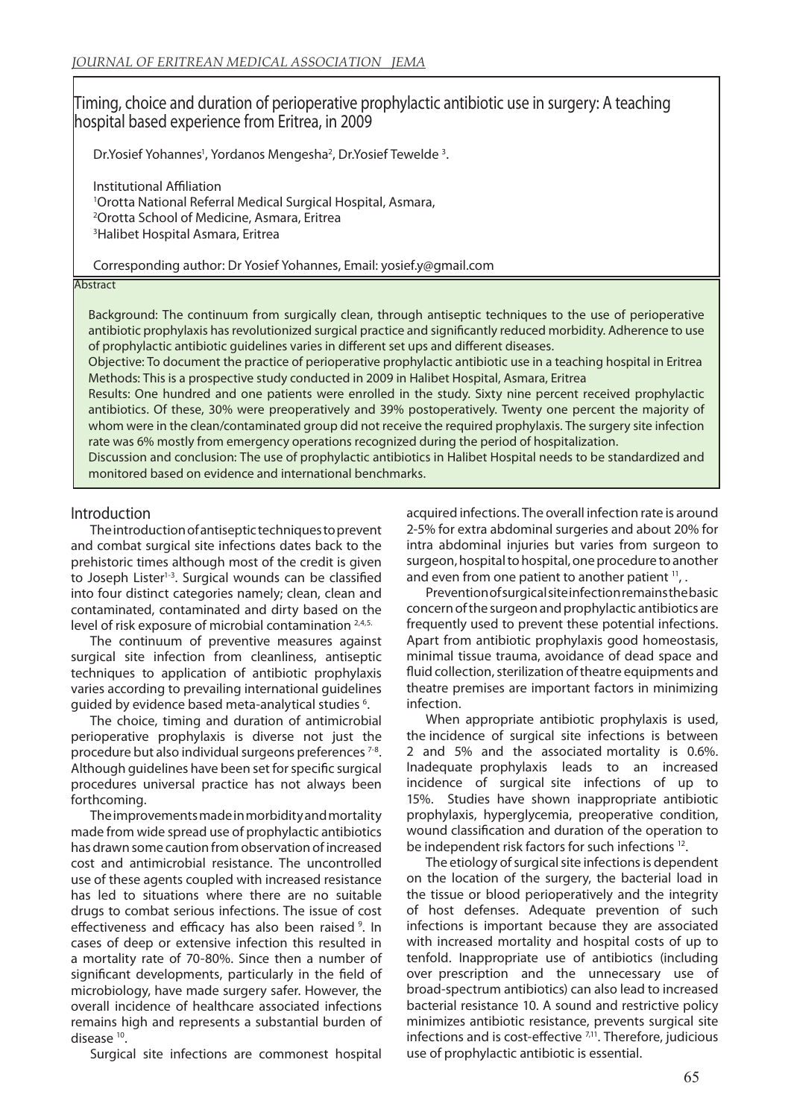# Timing, choice and duration of perioperative prophylactic antibiotic use in surgery: A teaching hospital based experience from Eritrea, in 2009

Dr.Yosief Yohannes<sup>1</sup>, Yordanos Mengesha<sup>2</sup>, Dr.Yosief Tewelde<sup>3</sup>.

Institutional Affiliation Orotta National Referral Medical Surgical Hospital, Asmara, Orotta School of Medicine, Asmara, Eritrea Halibet Hospital Asmara, Eritrea

#### Corresponding author: Dr Yosief Yohannes, Email: yosief.y@gmail.com

#### **Abstract**

Background: The continuum from surgically clean, through antiseptic techniques to the use of perioperative antibiotic prophylaxis has revolutionized surgical practice and significantly reduced morbidity. Adherence to use of prophylactic antibiotic guidelines varies in different set ups and different diseases.

Objective: To document the practice of perioperative prophylactic antibiotic use in a teaching hospital in Eritrea Methods: This is a prospective study conducted in 2009 in Halibet Hospital, Asmara, Eritrea

Results: One hundred and one patients were enrolled in the study. Sixty nine percent received prophylactic antibiotics. Of these, 30% were preoperatively and 39% postoperatively. Twenty one percent the majority of whom were in the clean/contaminated group did not receive the required prophylaxis. The surgery site infection rate was 6% mostly from emergency operations recognized during the period of hospitalization.

Discussion and conclusion: The use of prophylactic antibiotics in Halibet Hospital needs to be standardized and monitored based on evidence and international benchmarks.

#### Introduction

The introduction of antiseptic techniques to prevent and combat surgical site infections dates back to the prehistoric times although most of the credit is given to Joseph Lister<sup>1-3</sup>. Surgical wounds can be classified into four distinct categories namely; clean, clean and contaminated, contaminated and dirty based on the level of risk exposure of microbial contamination 2,4,5.

The continuum of preventive measures against surgical site infection from cleanliness, antiseptic techniques to application of antibiotic prophylaxis varies according to prevailing international guidelines guided by evidence based meta-analytical studies <sup>6</sup>.

The choice, timing and duration of antimicrobial perioperative prophylaxis is diverse not just the procedure but also individual surgeons preferences 7-8. Although guidelines have been set for specific surgical procedures universal practice has not always been forthcoming.

The improvements made in morbidity and mortality made from wide spread use of prophylactic antibiotics has drawn some caution from observation of increased cost and antimicrobial resistance. The uncontrolled use of these agents coupled with increased resistance has led to situations where there are no suitable drugs to combat serious infections. The issue of cost effectiveness and efficacy has also been raised<sup>9</sup>. In cases of deep or extensive infection this resulted in a mortality rate of 70-80%. Since then a number of significant developments, particularly in the field of microbiology, have made surgery safer. However, the overall incidence of healthcare associated infections remains high and represents a substantial burden of disease 10.

Surgical site infections are commonest hospital

acquired infections. The overall infection rate is around 2-5% for extra abdominal surgeries and about 20% for intra abdominal injuries but varies from surgeon to surgeon, hospital to hospital, one procedure to another and even from one patient to another patient <sup>11</sup>, .

Prevention of surgical site infection remains the basic concern of the surgeon and prophylactic antibiotics are frequently used to prevent these potential infections. Apart from antibiotic prophylaxis good homeostasis, minimal tissue trauma, avoidance of dead space and fluid collection, sterilization of theatre equipments and theatre premises are important factors in minimizing infection.

When appropriate antibiotic prophylaxis is used, the incidence of surgical site infections is between 2 and 5% and the associated mortality is 0.6%. Inadequate prophylaxis leads to an increased incidence of surgical site infections of up to 15%. Studies have shown inappropriate antibiotic prophylaxis, hyperglycemia, preoperative condition, wound classification and duration of the operation to be independent risk factors for such infections 12.

The etiology of surgical site infections is dependent on the location of the surgery, the bacterial load in the tissue or blood perioperatively and the integrity of host defenses. Adequate prevention of such infections is important because they are associated with increased mortality and hospital costs of up to tenfold. Inappropriate use of antibiotics (including over prescription and the unnecessary use of broad-spectrum antibiotics) can also lead to increased bacterial resistance 10. A sound and restrictive policy minimizes antibiotic resistance, prevents surgical site infections and is cost-effective <sup>7,11</sup>. Therefore, judicious use of prophylactic antibiotic is essential.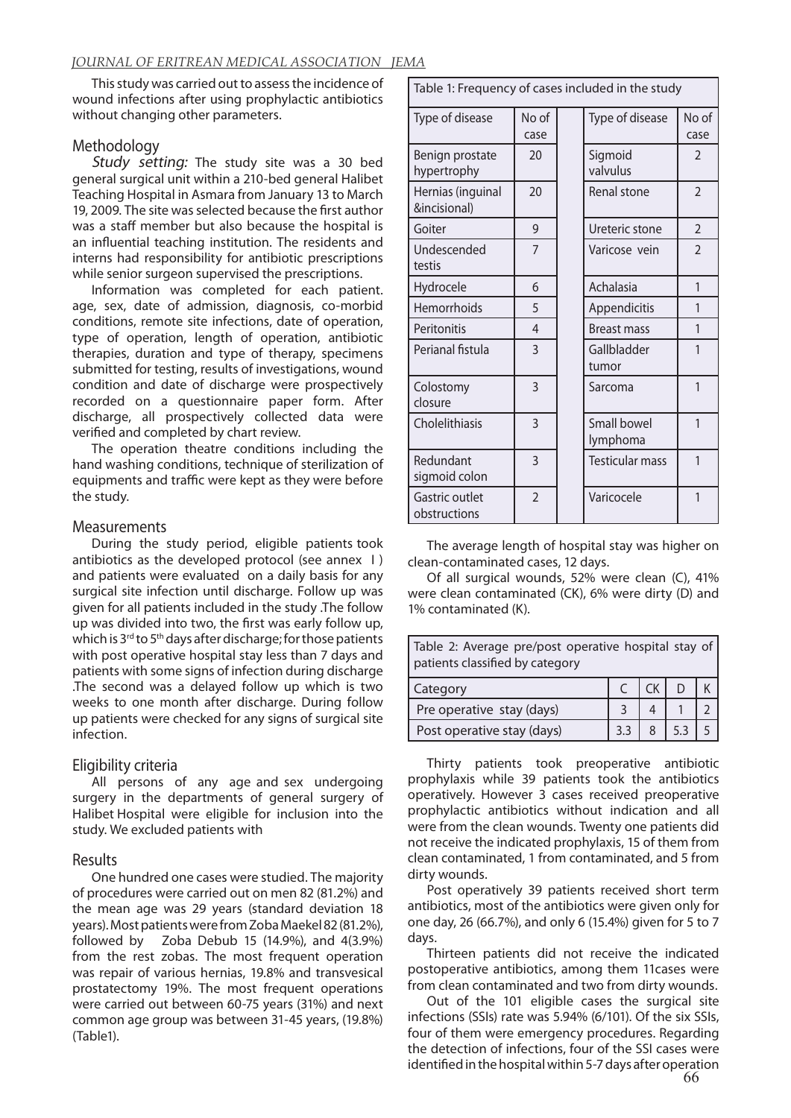This study was carried out to assess the incidence of wound infections after using prophylactic antibiotics without changing other parameters.

# **Methodology**

Study setting: The study site was a 30 bed general surgical unit within a 210-bed general Halibet Teaching Hospital in Asmara from January 13 to March 19, 2009. The site was selected because the first author was a staff member but also because the hospital is an influential teaching institution. The residents and interns had responsibility for antibiotic prescriptions while senior surgeon supervised the prescriptions.

Information was completed for each patient. age, sex, date of admission, diagnosis, co-morbid conditions, remote site infections, date of operation, type of operation, length of operation, antibiotic therapies, duration and type of therapy, specimens submitted for testing, results of investigations, wound condition and date of discharge were prospectively recorded on a questionnaire paper form. After discharge, all prospectively collected data were verified and completed by chart review.

The operation theatre conditions including the hand washing conditions, technique of sterilization of equipments and traffic were kept as they were before the study.

### Measurements

During the study period, eligible patients took antibiotics as the developed protocol (see annex I ) and patients were evaluated on a daily basis for any surgical site infection until discharge. Follow up was given for all patients included in the study .The follow up was divided into two, the first was early follow up, which is 3<sup>rd</sup> to 5<sup>th</sup> days after discharge; for those patients with post operative hospital stay less than 7 days and patients with some signs of infection during discharge .The second was a delayed follow up which is two weeks to one month after discharge. During follow up patients were checked for any signs of surgical site infection.

# Eligibility criteria

All persons of any age and sex undergoing surgery in the departments of general surgery of Halibet Hospital were eligible for inclusion into the study. We excluded patients with

# Results

One hundred one cases were studied. The majority of procedures were carried out on men 82 (81.2%) and the mean age was 29 years (standard deviation 18 years). Most patients were from Zoba Maekel 82 (81.2%), followed by Zoba Debub 15 (14.9%), and 4(3.9%) from the rest zobas. The most frequent operation was repair of various hernias, 19.8% and transvesical prostatectomy 19%. The most frequent operations were carried out between 60-75 years (31%) and next common age group was between 31-45 years, (19.8%) (Table1).

| Table 1: Frequency of cases included in the study |                |  |                                |                |  |  |  |
|---------------------------------------------------|----------------|--|--------------------------------|----------------|--|--|--|
| Type of disease                                   | No of<br>case  |  | Type of disease                | No of<br>case  |  |  |  |
| Benign prostate<br>hypertrophy                    | 20             |  | Sigmoid<br>valvulus            | $\mathcal{P}$  |  |  |  |
| Hernias (inguinal<br>&incisional)                 | 20             |  | Renal stone                    | $\mathfrak{D}$ |  |  |  |
| Goiter                                            | 9              |  | Ureteric stone                 | $\mathfrak{D}$ |  |  |  |
| Undescended<br>testis                             | 7              |  | Varicose vein                  | $\mathfrak{D}$ |  |  |  |
| Hydrocele                                         | 6              |  | Achalasia                      | 1              |  |  |  |
| Hemorrhoids                                       | 5              |  | Appendicitis                   | 1              |  |  |  |
| Peritonitis                                       | 4              |  | <b>Breast mass</b>             | 1              |  |  |  |
| Perianal fistula                                  | 3              |  | Gallbladder<br>tumor           | 1              |  |  |  |
| Colostomy<br>closure                              | 3              |  | Sarcoma                        | 1              |  |  |  |
| Cholelithiasis                                    | 3              |  | <b>Small bowel</b><br>lymphoma | 1              |  |  |  |
| Redundant<br>sigmoid colon                        | 3              |  | <b>Testicular mass</b>         | 1              |  |  |  |
| Gastric outlet<br>obstructions                    | $\overline{2}$ |  | Varicocele                     | $\mathbf{1}$   |  |  |  |

The average length of hospital stay was higher on clean-contaminated cases, 12 days.

Of all surgical wounds, 52% were clean (C), 41% were clean contaminated (CK), 6% were dirty (D) and 1% contaminated (K).

|  |                                 | Table 2: Average pre/post operative hospital stay of |  |  |
|--|---------------------------------|------------------------------------------------------|--|--|
|  | patients classified by category |                                                      |  |  |

| Category                   |  |  |  |
|----------------------------|--|--|--|
| Pre operative stay (days)  |  |  |  |
| Post operative stay (days) |  |  |  |

Thirty patients took preoperative antibiotic prophylaxis while 39 patients took the antibiotics operatively. However 3 cases received preoperative prophylactic antibiotics without indication and all were from the clean wounds. Twenty one patients did not receive the indicated prophylaxis, 15 of them from clean contaminated, 1 from contaminated, and 5 from dirty wounds.

Post operatively 39 patients received short term antibiotics, most of the antibiotics were given only for one day, 26 (66.7%), and only 6 (15.4%) given for 5 to 7 days.

Thirteen patients did not receive the indicated postoperative antibiotics, among them 11cases were from clean contaminated and two from dirty wounds.

Out of the 101 eligible cases the surgical site infections (SSIs) rate was 5.94% (6/101). Of the six SSIs, four of them were emergency procedures. Regarding the detection of infections, four of the SSI cases were identified in the hospital within 5-7 days after operation